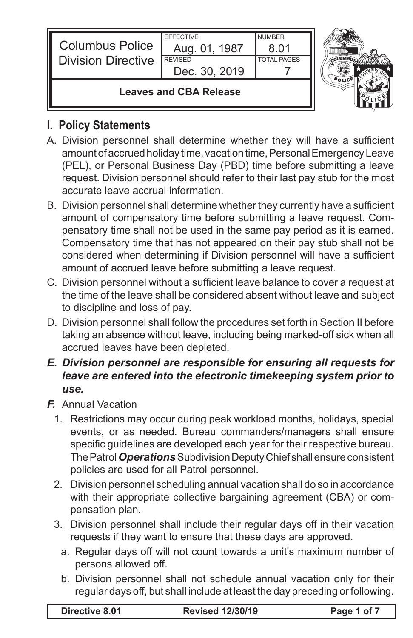| <b>Columbus Police</b><br><b>Division Directive</b> | <b>EFFECTIVE</b><br>Aug. 01, 1987<br><b>REVISED</b><br>Dec. 30, 2019 | <b>NUMBER</b><br>8 N 1<br><b>TOTAL PAGES</b> |  |
|-----------------------------------------------------|----------------------------------------------------------------------|----------------------------------------------|--|
| Leaves and CBA Release                              |                                                                      |                                              |  |

# **I. Policy Statements**

- A. Division personnel shall determine whether they will have a sufficient amount of accrued holiday time, vacation time, Personal Emergency Leave (PEL), or Personal Business Day (PBD) time before submitting a leave request. Division personnel should refer to their last pay stub for the most accurate leave accrual information.
- B. Division personnel shall determine whether they currently have a sufficient amount of compensatory time before submitting a leave request. Compensatory time shall not be used in the same pay period as it is earned. Compensatory time that has not appeared on their pay stub shall not be considered when determining if Division personnel will have a sufficient amount of accrued leave before submitting a leave request.
- C. Division personnel without a sufficient leave balance to cover a request at the time of the leave shall be considered absent without leave and subject to discipline and loss of pay.
- D. Division personnel shall follow the procedures set forth in Section II before taking an absence without leave, including being marked-off sick when all accrued leaves have been depleted.
- *E. Division personnel are responsible for ensuring all requests for leave are entered into the electronic timekeeping system prior to use.*
- *F.* Annual Vacation
	- 1. Restrictions may occur during peak workload months, holidays, special events, or as needed. Bureau commanders/managers shall ensure specific guidelines are developed each year for their respective bureau. The Patrol *Operations* Subdivision Deputy Chief shall ensure consistent policies are used for all Patrol personnel.
	- 2. Division personnel scheduling annual vacation shall do so in accordance with their appropriate collective bargaining agreement (CBA) or compensation plan.
	- 3. Division personnel shall include their regular days off in their vacation requests if they want to ensure that these days are approved.
		- a. Regular days off will not count towards a unit's maximum number of persons allowed off.
		- b. Division personnel shall not schedule annual vacation only for their regular days off, but shall include at least the day preceding orfollowing.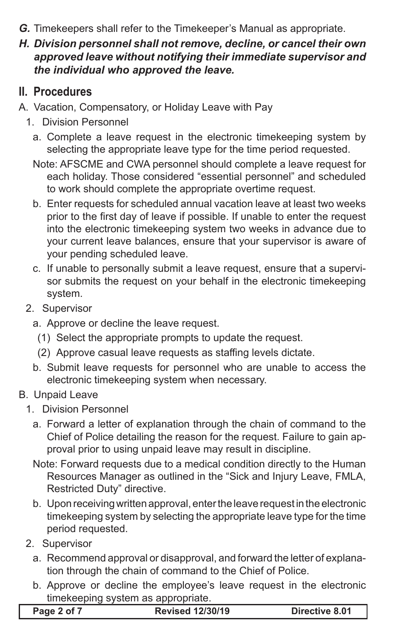*G.* Timekeepers shall refer to the Timekeeper's Manual as appropriate.

### *H. Division personnel shall not remove, decline, or cancel their own approved leave without notifying their immediate supervisor and the individual who approved the leave.*

## **II. Procedures**

- A. Vacation, Compensatory, or Holiday Leave with Pay
	- 1. Division Personnel
		- a. Complete a leave request in the electronic timekeeping system by selecting the appropriate leave type for the time period requested.
		- Note: AFSCME and CWA personnel should complete a leave request for each holiday. Those considered "essential personnel" and scheduled to work should complete the appropriate overtime request.
		- b. Enter requests for scheduled annual vacation leave at least two weeks prior to the first day of leave if possible. If unable to enter the request into the electronic timekeeping system two weeks in advance due to your current leave balances, ensure that your supervisor is aware of your pending scheduled leave.
		- c. If unable to personally submit a leave request, ensure that a supervisor submits the request on your behalf in the electronic timekeeping system.
	- 2. Supervisor
		- a. Approve or decline the leave request.
		- (1) Select the appropriate prompts to update the request.
		- (2) Approve casual leave requests as staffing levels dictate.
		- b. Submit leave requests for personnel who are unable to access the electronic timekeeping system when necessary.

### B. Unpaid Leave

- 1. Division Personnel
	- a. Forward a letter of explanation through the chain of command to the Chief of Police detailing the reason for the request. Failure to gain approval prior to using unpaid leave may result in discipline.
	- Note: Forward requests due to a medical condition directly to the Human Resources Manager as outlined in the "Sick and Injury Leave, FMLA, Restricted Duty" directive.
	- b. Upon receiving written approval, enter the leave request in the electronic timekeeping system by selecting the appropriate leave type for the time period requested.
- 2. Supervisor
	- a. Recommend approval or disapproval, and forward the letter of explanation through the chain of command to the Chief of Police.
	- b. Approve or decline the employee's leave request in the electronic timekeeping system as appropriate.

| Page 2 of 7 | <b>Revised 12/30/19</b> | Directive 8.01 |
|-------------|-------------------------|----------------|
|-------------|-------------------------|----------------|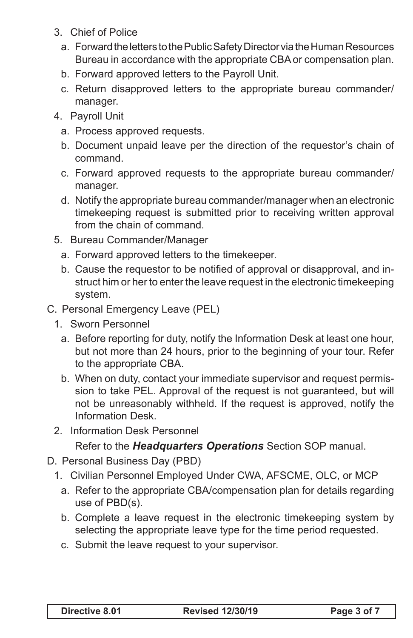- 3. Chief of Police
	- a. Forward the letters to the Public Safety Director via the Human Resources Bureau in accordance with the appropriate CBA or compensation plan.
	- b. Forward approved letters to the Payroll Unit.
	- c. Return disapproved letters to the appropriate bureau commander/ manager.
- 4. Payroll Unit
	- a. Process approved requests.
	- b. Document unpaid leave per the direction of the requestor's chain of command.
	- c. Forward approved requests to the appropriate bureau commander/ manager.
	- d. Notify the appropriate bureau commander/manager when an electronic timekeeping request is submitted prior to receiving written approval from the chain of command.
- 5. Bureau Commander/Manager
	- a. Forward approved letters to the timekeeper.
	- b. Cause the requestor to be notified of approval or disapproval, and instruct him or her to enter the leave request in the electronic timekeeping system.
- C. Personal Emergency Leave (PEL)
	- 1. Sworn Personnel
		- a. Before reporting for duty, notify the Information Desk at least one hour, but not more than 24 hours, prior to the beginning of your tour. Refer to the appropriate CBA.
		- b. When on duty, contact your immediate supervisor and request permission to take PEL. Approval of the request is not guaranteed, but will not be unreasonably withheld. If the request is approved, notify the Information Desk.
	- 2. Information Desk Personnel

Refer to the *Headquarters Operations* Section SOP manual.

- D. Personal Business Day (PBD)
	- 1. Civilian Personnel Employed Under CWA, AFSCME, OLC, or MCP
		- a. Refer to the appropriate CBA/compensation plan for details regarding use of PBD(s).
		- b. Complete a leave request in the electronic timekeeping system by selecting the appropriate leave type for the time period requested.
		- c. Submit the leave request to your supervisor.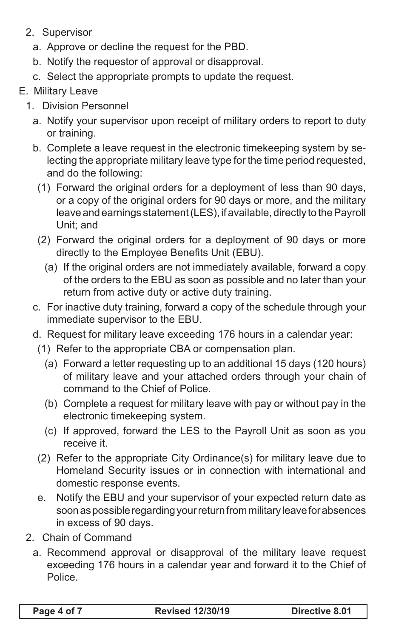- 2. Supervisor
	- a. Approve or decline the request for the PBD.
	- b. Notify the requestor of approval or disapproval.
	- c. Select the appropriate prompts to update the request.

### E. Military Leave

- 1. Division Personnel
	- a. Notify your supervisor upon receipt of military orders to report to duty or training.
	- b. Complete a leave request in the electronic timekeeping system by selecting the appropriate military leave type for the time period requested, and do the following:
		- (1) Forward the original orders for a deployment of less than 90 days, or a copy of the original orders for 90 days or more, and the military leave and earnings statement (LES), if available, directly to the Payroll Unit; and
		- (2) Forward the original orders for a deployment of 90 days or more directly to the Employee Benefits Unit (EBU).
			- (a) If the original orders are not immediately available, forward a copy of the orders to the EBU as soon as possible and no later than your return from active duty or active duty training.
	- c. For inactive duty training, forward a copy of the schedule through your immediate supervisor to the EBU.
	- d. Request for military leave exceeding 176 hours in a calendar year:
	- (1) Refer to the appropriate CBA or compensation plan.
		- (a) Forward a letter requesting up to an additional 15 days (120 hours) of military leave and your attached orders through your chain of command to the Chief of Police.
		- (b) Complete a request for military leave with pay or without pay in the electronic timekeeping system.
		- (c) If approved, forward the LES to the Payroll Unit as soon as you receive it.
	- (2) Refer to the appropriate City Ordinance(s) for military leave due to Homeland Security issues or in connection with international and domestic response events.
	- e. Notify the EBU and your supervisor of your expected return date as soon as possible regarding your return from military leave for absences in excess of 90 days.
- 2. Chain of Command
	- a. Recommend approval or disapproval of the military leave request exceeding 176 hours in a calendar year and forward it to the Chief of Police.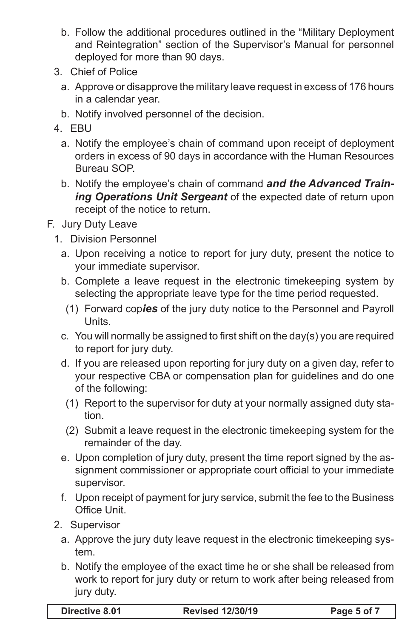- b. Follow the additional procedures outlined in the "Military Deployment and Reintegration" section of the Supervisor's Manual for personnel deployed for more than 90 days.
- 3. Chief of Police
	- a. Approve or disapprove the military leave request in excess of 176 hours in a calendar year.
	- b. Notify involved personnel of the decision.
- 4. EBU
	- a. Notify the employee's chain of command upon receipt of deployment orders in excess of 90 days in accordance with the Human Resources Bureau SOP.
	- b. Notify the employee's chain of command *and the Advanced Training Operations Unit Sergeant* of the expected date of return upon receipt of the notice to return.
- F. Jury Duty Leave
	- 1. Division Personnel
		- a. Upon receiving a notice to report for jury duty, present the notice to your immediate supervisor.
		- b. Complete a leave request in the electronic timekeeping system by selecting the appropriate leave type for the time period requested.
		- (1) Forward cop*ies* of the jury duty notice to the Personnel and Payroll **Units**
		- c. You will normally be assigned to first shift on the day(s) you are required to report for jury duty.
		- d. If you are released upon reporting for jury duty on a given day, refer to your respective CBA or compensation plan for guidelines and do one of the following:
			- (1) Report to the supervisor for duty at your normally assigned duty station.
			- (2) Submit a leave request in the electronic timekeeping system for the remainder of the day.
		- e. Upon completion of jury duty, present the time report signed by the assignment commissioner or appropriate court official to your immediate supervisor.
		- f. Upon receipt of payment for jury service, submit the fee to the Business Office Unit.
	- 2. Supervisor
		- a. Approve the jury duty leave request in the electronic timekeeping system.
		- b. Notify the employee of the exact time he or she shall be released from work to report for jury duty or return to work after being released from jury duty.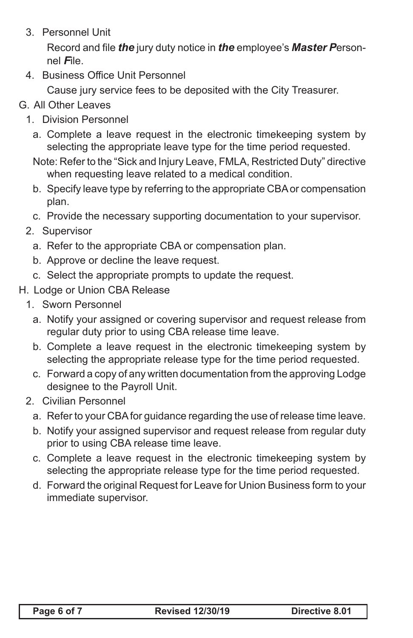3. Personnel Unit

 Record and file *the* jury duty notice in *the* employee's *Master P*ersonnel *F*ile.

4. Business Office Unit Personnel

Cause jury service fees to be deposited with the City Treasurer.

- G. All Other Leaves
	- 1. Division Personnel
		- a. Complete a leave request in the electronic timekeeping system by selecting the appropriate leave type for the time period requested.
		- Note: Refer to the "Sick and Injury Leave, FMLA, Restricted Duty" directive when requesting leave related to a medical condition.
		- b. Specify leave type by referring to the appropriate CBA or compensation plan.
		- c. Provide the necessary supporting documentation to your supervisor.
	- 2. Supervisor
		- a. Refer to the appropriate CBA or compensation plan.
		- b. Approve or decline the leave request.
		- c. Select the appropriate prompts to update the request.
- H. Lodge or Union CBA Release
	- 1. Sworn Personnel
		- a. Notify your assigned or covering supervisor and request release from regular duty prior to using CBA release time leave.
		- b. Complete a leave request in the electronic timekeeping system by selecting the appropriate release type for the time period requested.
		- c. Forward a copy of any written documentation from the approving Lodge designee to the Payroll Unit.
	- 2. Civilian Personnel
		- a. Refer to your CBA for guidance regarding the use of release time leave.
		- b. Notify your assigned supervisor and request release from regular duty prior to using CBA release time leave.
		- c. Complete a leave request in the electronic timekeeping system by selecting the appropriate release type for the time period requested.
		- d. Forward the original Request for Leave for Union Business form to your immediate supervisor.